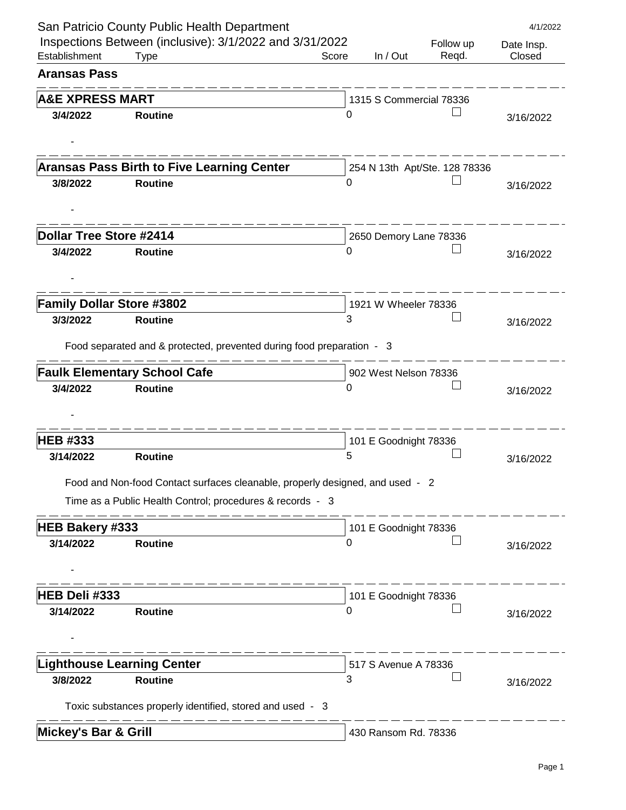|                                     | San Patricio County Public Health Department                                  |       |                         |                               | 4/1/2022   |
|-------------------------------------|-------------------------------------------------------------------------------|-------|-------------------------|-------------------------------|------------|
|                                     | Inspections Between (inclusive): 3/1/2022 and 3/31/2022                       |       |                         | Follow up                     | Date Insp. |
| Establishment                       | <b>Type</b>                                                                   | Score | In / Out                | Reqd.                         | Closed     |
| <b>Aransas Pass</b>                 |                                                                               |       |                         |                               |            |
| <b>A&amp;E XPRESS MART</b>          |                                                                               |       | 1315 S Commercial 78336 |                               |            |
| 3/4/2022                            | <b>Routine</b>                                                                | 0     |                         |                               | 3/16/2022  |
|                                     |                                                                               |       |                         |                               |            |
|                                     |                                                                               |       |                         |                               |            |
|                                     | <b>Aransas Pass Birth to Five Learning Center</b>                             |       |                         | 254 N 13th Apt/Ste. 128 78336 |            |
| 3/8/2022                            | <b>Routine</b>                                                                | 0     |                         |                               | 3/16/2022  |
|                                     |                                                                               |       |                         |                               |            |
| <b>Dollar Tree Store #2414</b>      |                                                                               |       | 2650 Demory Lane 78336  |                               |            |
| 3/4/2022                            | <b>Routine</b>                                                                | 0     |                         |                               | 3/16/2022  |
|                                     |                                                                               |       |                         |                               |            |
|                                     |                                                                               |       |                         |                               |            |
| <b>Family Dollar Store #3802</b>    |                                                                               |       | 1921 W Wheeler 78336    |                               |            |
| 3/3/2022                            | <b>Routine</b>                                                                | 3     |                         |                               | 3/16/2022  |
|                                     | Food separated and & protected, prevented during food preparation - 3         |       |                         |                               |            |
|                                     |                                                                               |       |                         |                               |            |
| 3/4/2022                            | <b>Faulk Elementary School Cafe</b><br><b>Routine</b>                         | 0     | 902 West Nelson 78336   |                               |            |
|                                     |                                                                               |       |                         |                               | 3/16/2022  |
|                                     |                                                                               |       |                         |                               |            |
| <b>HEB #333</b>                     |                                                                               |       | 101 E Goodnight 78336   |                               |            |
| 3/14/2022                           | <b>Routine</b>                                                                | 5     |                         |                               | 3/16/2022  |
|                                     | Food and Non-food Contact surfaces cleanable, properly designed, and used - 2 |       |                         |                               |            |
|                                     | Time as a Public Health Control; procedures & records - 3                     |       |                         |                               |            |
|                                     |                                                                               |       |                         |                               |            |
| <b>HEB Bakery #333</b><br>3/14/2022 | <b>Routine</b>                                                                | 0     | 101 E Goodnight 78336   |                               |            |
|                                     |                                                                               |       |                         |                               | 3/16/2022  |
|                                     |                                                                               |       |                         |                               |            |
| HEB Deli #333                       |                                                                               |       | 101 E Goodnight 78336   |                               |            |
| 3/14/2022                           | <b>Routine</b>                                                                | 0     |                         |                               | 3/16/2022  |
|                                     |                                                                               |       |                         |                               |            |
|                                     |                                                                               |       |                         |                               |            |
|                                     | <b>Lighthouse Learning Center</b>                                             |       | 517 S Avenue A 78336    |                               |            |
| 3/8/2022                            | <b>Routine</b>                                                                | 3     |                         |                               | 3/16/2022  |
|                                     | Toxic substances properly identified, stored and used - 3                     |       |                         |                               |            |
| <b>Mickey's Bar &amp; Grill</b>     |                                                                               |       | 430 Ransom Rd. 78336    |                               |            |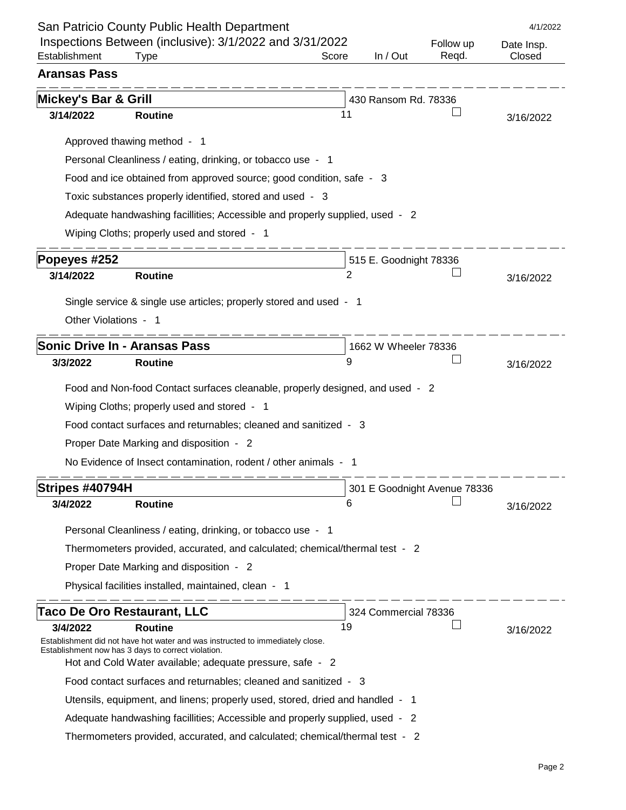|                      | San Patricio County Public Health Department                                                                                        |                |                        |                              | 4/1/2022   |
|----------------------|-------------------------------------------------------------------------------------------------------------------------------------|----------------|------------------------|------------------------------|------------|
| Establishment        | Inspections Between (inclusive): 3/1/2022 and 3/31/2022                                                                             | Score          | In / Out               | Follow up                    | Date Insp. |
| <b>Aransas Pass</b>  | Type                                                                                                                                |                |                        | Regd.                        | Closed     |
|                      |                                                                                                                                     |                |                        |                              |            |
| Mickey's Bar & Grill |                                                                                                                                     |                | 430 Ransom Rd. 78336   |                              |            |
| 3/14/2022            | <b>Routine</b>                                                                                                                      | 11             |                        |                              | 3/16/2022  |
|                      | Approved thawing method - 1                                                                                                         |                |                        |                              |            |
|                      | Personal Cleanliness / eating, drinking, or tobacco use - 1                                                                         |                |                        |                              |            |
|                      | Food and ice obtained from approved source; good condition, safe - 3                                                                |                |                        |                              |            |
|                      | Toxic substances properly identified, stored and used - 3                                                                           |                |                        |                              |            |
|                      | Adequate handwashing facillities; Accessible and properly supplied, used - 2                                                        |                |                        |                              |            |
|                      | Wiping Cloths; properly used and stored - 1                                                                                         |                |                        |                              |            |
| Popeyes #252         |                                                                                                                                     |                | 515 E. Goodnight 78336 |                              |            |
| 3/14/2022            | <b>Routine</b>                                                                                                                      | $\overline{2}$ |                        |                              | 3/16/2022  |
|                      |                                                                                                                                     |                |                        |                              |            |
|                      | Single service & single use articles; properly stored and used - 1                                                                  |                |                        |                              |            |
| Other Violations - 1 |                                                                                                                                     |                |                        |                              |            |
|                      | <b>Sonic Drive In - Aransas Pass</b>                                                                                                |                | 1662 W Wheeler 78336   |                              |            |
| 3/3/2022             | <b>Routine</b>                                                                                                                      | 9              |                        |                              | 3/16/2022  |
|                      | Food and Non-food Contact surfaces cleanable, properly designed, and used - 2                                                       |                |                        |                              |            |
|                      | Wiping Cloths; properly used and stored - 1                                                                                         |                |                        |                              |            |
|                      | Food contact surfaces and returnables; cleaned and sanitized - 3                                                                    |                |                        |                              |            |
|                      | Proper Date Marking and disposition - 2                                                                                             |                |                        |                              |            |
|                      | No Evidence of Insect contamination, rodent / other animals - 1                                                                     |                |                        |                              |            |
| Stripes #40794H      |                                                                                                                                     |                |                        |                              |            |
| 3/4/2022             | <b>Routine</b>                                                                                                                      | 6              |                        | 301 E Goodnight Avenue 78336 | 3/16/2022  |
|                      |                                                                                                                                     |                |                        |                              |            |
|                      | Personal Cleanliness / eating, drinking, or tobacco use - 1                                                                         |                |                        |                              |            |
|                      | Thermometers provided, accurated, and calculated; chemical/thermal test - 2                                                         |                |                        |                              |            |
|                      | Proper Date Marking and disposition - 2                                                                                             |                |                        |                              |            |
|                      | Physical facilities installed, maintained, clean - 1                                                                                |                |                        |                              |            |
|                      | <b>Taco De Oro Restaurant, LLC</b>                                                                                                  |                | 324 Commercial 78336   |                              |            |
| 3/4/2022             | <b>Routine</b>                                                                                                                      | 19             |                        |                              | 3/16/2022  |
|                      | Establishment did not have hot water and was instructed to immediately close.<br>Establishment now has 3 days to correct violation. |                |                        |                              |            |
|                      | Hot and Cold Water available; adequate pressure, safe - 2                                                                           |                |                        |                              |            |
|                      | Food contact surfaces and returnables; cleaned and sanitized - 3                                                                    |                |                        |                              |            |
|                      | Utensils, equipment, and linens; properly used, stored, dried and handled - 1                                                       |                |                        |                              |            |
|                      | Adequate handwashing facillities; Accessible and properly supplied, used - 2                                                        |                |                        |                              |            |
|                      | Thermometers provided, accurated, and calculated; chemical/thermal test - 2                                                         |                |                        |                              |            |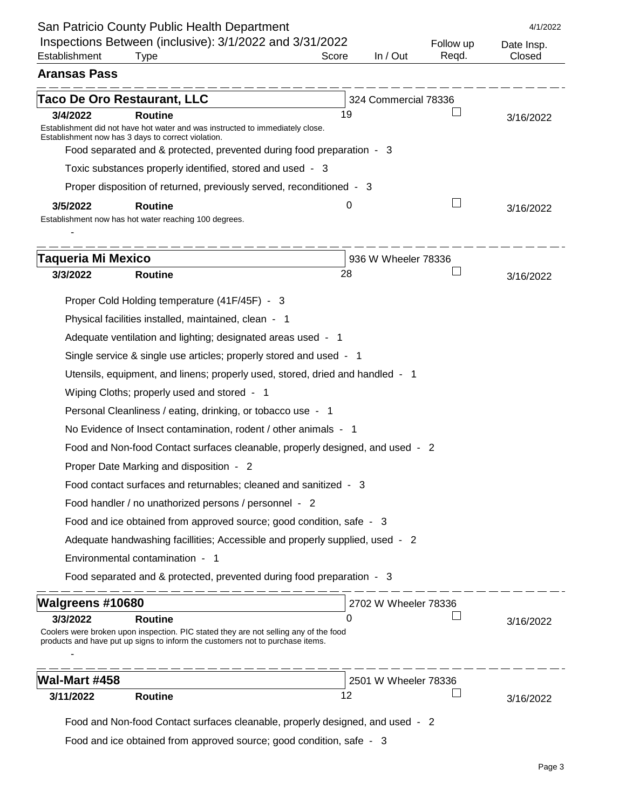|                                                       | San Patricio County Public Health Department                                                                                                                          |       |                      |                    | 4/1/2022             |
|-------------------------------------------------------|-----------------------------------------------------------------------------------------------------------------------------------------------------------------------|-------|----------------------|--------------------|----------------------|
| Establishment                                         | Inspections Between (inclusive): 3/1/2022 and 3/31/2022<br><b>Type</b>                                                                                                | Score | In / Out             | Follow up<br>Regd. | Date Insp.<br>Closed |
| <b>Aransas Pass</b>                                   |                                                                                                                                                                       |       |                      |                    |                      |
| <b>Taco De Oro Restaurant, LLC</b>                    |                                                                                                                                                                       |       | 324 Commercial 78336 |                    |                      |
| 3/4/2022                                              | <b>Routine</b>                                                                                                                                                        | 19    |                      |                    | 3/16/2022            |
| Establishment now has 3 days to correct violation.    | Establishment did not have hot water and was instructed to immediately close.                                                                                         |       |                      |                    |                      |
|                                                       | Food separated and & protected, prevented during food preparation - 3                                                                                                 |       |                      |                    |                      |
|                                                       | Toxic substances properly identified, stored and used - 3                                                                                                             |       |                      |                    |                      |
|                                                       | Proper disposition of returned, previously served, reconditioned - 3                                                                                                  |       |                      |                    |                      |
| 3/5/2022                                              | <b>Routine</b>                                                                                                                                                        | 0     |                      |                    | 3/16/2022            |
| Establishment now has hot water reaching 100 degrees. |                                                                                                                                                                       |       |                      |                    |                      |
|                                                       |                                                                                                                                                                       |       |                      |                    |                      |
| <b>Taqueria Mi Mexico</b>                             |                                                                                                                                                                       |       | 936 W Wheeler 78336  |                    |                      |
| 3/3/2022                                              | <b>Routine</b>                                                                                                                                                        | 28    |                      |                    | 3/16/2022            |
|                                                       | Proper Cold Holding temperature (41F/45F) - 3                                                                                                                         |       |                      |                    |                      |
|                                                       | Physical facilities installed, maintained, clean - 1                                                                                                                  |       |                      |                    |                      |
|                                                       | Adequate ventilation and lighting; designated areas used - 1                                                                                                          |       |                      |                    |                      |
|                                                       | Single service & single use articles; properly stored and used - 1                                                                                                    |       |                      |                    |                      |
|                                                       | Utensils, equipment, and linens; properly used, stored, dried and handled - 1                                                                                         |       |                      |                    |                      |
|                                                       | Wiping Cloths; properly used and stored - 1                                                                                                                           |       |                      |                    |                      |
|                                                       | Personal Cleanliness / eating, drinking, or tobacco use - 1                                                                                                           |       |                      |                    |                      |
|                                                       | No Evidence of Insect contamination, rodent / other animals - 1                                                                                                       |       |                      |                    |                      |
|                                                       | Food and Non-food Contact surfaces cleanable, properly designed, and used - 2                                                                                         |       |                      |                    |                      |
|                                                       | Proper Date Marking and disposition - 2                                                                                                                               |       |                      |                    |                      |
|                                                       | Food contact surfaces and returnables; cleaned and sanitized - 3                                                                                                      |       |                      |                    |                      |
|                                                       | Food handler / no unathorized persons / personnel - 2                                                                                                                 |       |                      |                    |                      |
|                                                       | Food and ice obtained from approved source; good condition, safe - 3                                                                                                  |       |                      |                    |                      |
|                                                       | Adequate handwashing facilities; Accessible and properly supplied, used - 2                                                                                           |       |                      |                    |                      |
| Environmental contamination - 1                       |                                                                                                                                                                       |       |                      |                    |                      |
|                                                       | Food separated and & protected, prevented during food preparation - 3                                                                                                 |       |                      |                    |                      |
| <b>Walgreens #10680</b>                               |                                                                                                                                                                       |       | 2702 W Wheeler 78336 |                    |                      |
| 3/3/2022                                              | <b>Routine</b>                                                                                                                                                        | 0     |                      |                    | 3/16/2022            |
|                                                       | Coolers were broken upon inspection. PIC stated they are not selling any of the food<br>products and have put up signs to inform the customers not to purchase items. |       |                      |                    |                      |
|                                                       |                                                                                                                                                                       |       | 2501 W Wheeler 78336 |                    |                      |
| Wal-Mart #458                                         |                                                                                                                                                                       |       |                      |                    |                      |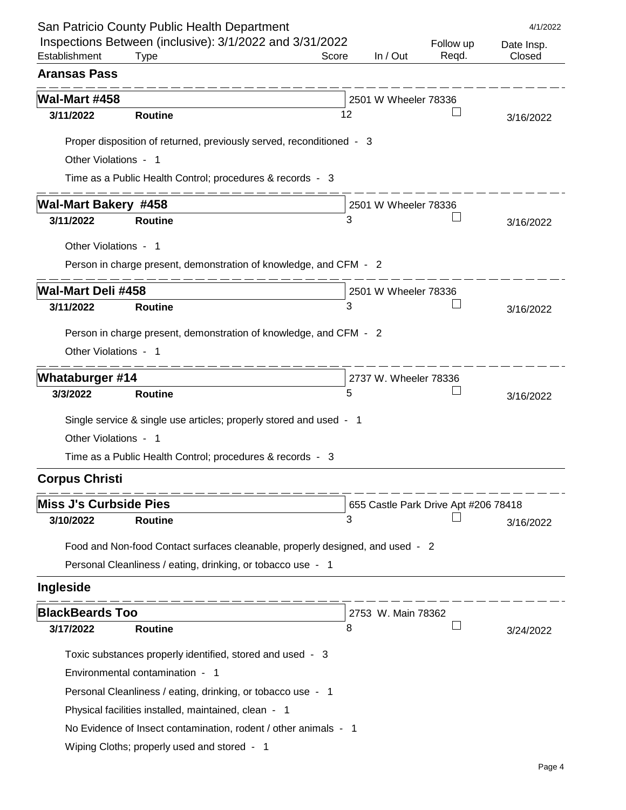|                               | San Patricio County Public Health Department                                  |       |                       |                                      | 4/1/2022   |
|-------------------------------|-------------------------------------------------------------------------------|-------|-----------------------|--------------------------------------|------------|
|                               | Inspections Between (inclusive): 3/1/2022 and 3/31/2022                       |       |                       | Follow up                            | Date Insp. |
| Establishment                 | <b>Type</b>                                                                   | Score | In $/$ Out            | Regd.                                | Closed     |
| <b>Aransas Pass</b>           |                                                                               |       |                       |                                      |            |
| <b>Wal-Mart #458</b>          |                                                                               |       | 2501 W Wheeler 78336  |                                      |            |
| 3/11/2022                     | <b>Routine</b>                                                                | 12    |                       |                                      | 3/16/2022  |
|                               | Proper disposition of returned, previously served, reconditioned - 3          |       |                       |                                      |            |
| Other Violations - 1          |                                                                               |       |                       |                                      |            |
|                               | Time as a Public Health Control; procedures & records - 3                     |       |                       |                                      |            |
|                               |                                                                               |       |                       |                                      |            |
| <b>Wal-Mart Bakery #458</b>   |                                                                               |       | 2501 W Wheeler 78336  |                                      |            |
| 3/11/2022                     | <b>Routine</b>                                                                | 3     |                       |                                      | 3/16/2022  |
| Other Violations - 1          |                                                                               |       |                       |                                      |            |
|                               | Person in charge present, demonstration of knowledge, and CFM - 2             |       |                       |                                      |            |
| <b>Wal-Mart Deli #458</b>     |                                                                               |       | 2501 W Wheeler 78336  |                                      |            |
| 3/11/2022                     | <b>Routine</b>                                                                | 3     |                       |                                      | 3/16/2022  |
|                               |                                                                               |       |                       |                                      |            |
|                               | Person in charge present, demonstration of knowledge, and CFM - 2             |       |                       |                                      |            |
| Other Violations - 1          |                                                                               |       |                       |                                      |            |
| <b>Whataburger #14</b>        |                                                                               |       | 2737 W. Wheeler 78336 |                                      |            |
| 3/3/2022                      | <b>Routine</b>                                                                | 5     |                       |                                      | 3/16/2022  |
|                               | Single service & single use articles; properly stored and used - 1            |       |                       |                                      |            |
| Other Violations - 1          |                                                                               |       |                       |                                      |            |
|                               | Time as a Public Health Control; procedures & records - 3                     |       |                       |                                      |            |
|                               |                                                                               |       |                       |                                      |            |
| <b>Corpus Christi</b>         |                                                                               |       |                       |                                      |            |
| <b>Miss J's Curbside Pies</b> |                                                                               |       |                       | 655 Castle Park Drive Apt #206 78418 |            |
| 3/10/2022                     | <b>Routine</b>                                                                | 3     |                       |                                      | 3/16/2022  |
|                               | Food and Non-food Contact surfaces cleanable, properly designed, and used - 2 |       |                       |                                      |            |
|                               | Personal Cleanliness / eating, drinking, or tobacco use - 1                   |       |                       |                                      |            |
| Ingleside                     |                                                                               |       |                       |                                      |            |
|                               |                                                                               |       |                       |                                      |            |
| <b>BlackBeards Too</b>        |                                                                               |       | 2753 W. Main 78362    |                                      |            |
| 3/17/2022                     | <b>Routine</b>                                                                | 8     |                       |                                      | 3/24/2022  |
|                               | Toxic substances properly identified, stored and used - 3                     |       |                       |                                      |            |
|                               | Environmental contamination - 1                                               |       |                       |                                      |            |
|                               | Personal Cleanliness / eating, drinking, or tobacco use - 1                   |       |                       |                                      |            |
|                               | Physical facilities installed, maintained, clean - 1                          |       |                       |                                      |            |
|                               | No Evidence of Insect contamination, rodent / other animals - 1               |       |                       |                                      |            |
|                               | Wiping Cloths; properly used and stored - 1                                   |       |                       |                                      |            |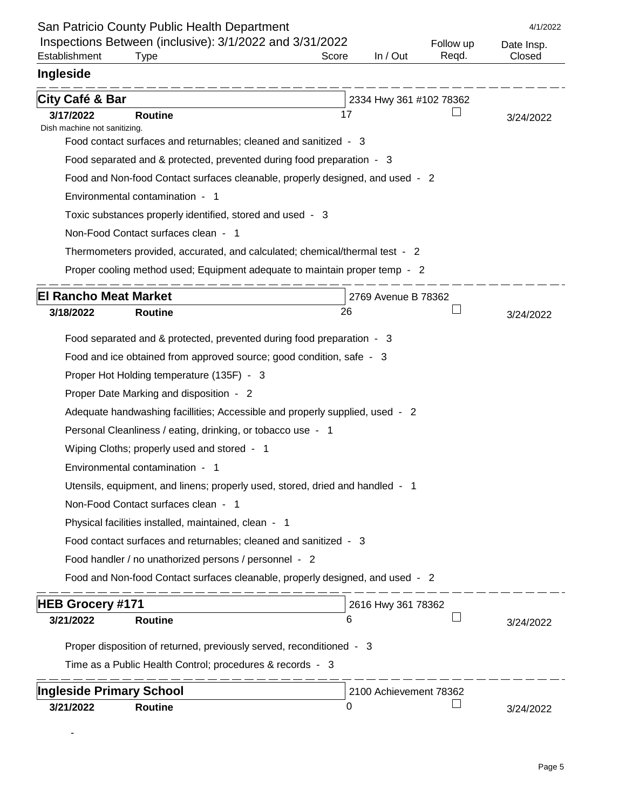|                                           | San Patricio County Public Health Department                                  |       |                         |           | 4/1/2022   |
|-------------------------------------------|-------------------------------------------------------------------------------|-------|-------------------------|-----------|------------|
|                                           | Inspections Between (inclusive): 3/1/2022 and 3/31/2022                       |       |                         | Follow up | Date Insp. |
| Establishment                             | Type                                                                          | Score | In / Out                | Regd.     | Closed     |
| Ingleside                                 |                                                                               |       |                         |           |            |
| City Café & Bar                           |                                                                               |       | 2334 Hwy 361 #102 78362 |           |            |
| 3/17/2022                                 | <b>Routine</b>                                                                | 17    |                         |           | 3/24/2022  |
| Dish machine not sanitizing.              | Food contact surfaces and returnables; cleaned and sanitized - 3              |       |                         |           |            |
|                                           | Food separated and & protected, prevented during food preparation - 3         |       |                         |           |            |
|                                           | Food and Non-food Contact surfaces cleanable, properly designed, and used - 2 |       |                         |           |            |
|                                           | Environmental contamination - 1                                               |       |                         |           |            |
|                                           | Toxic substances properly identified, stored and used - 3                     |       |                         |           |            |
|                                           | Non-Food Contact surfaces clean - 1                                           |       |                         |           |            |
|                                           | Thermometers provided, accurated, and calculated; chemical/thermal test - 2   |       |                         |           |            |
|                                           | Proper cooling method used; Equipment adequate to maintain proper temp - 2    |       |                         |           |            |
|                                           |                                                                               |       |                         |           |            |
| <b>El Rancho Meat Market</b><br>3/18/2022 | <b>Routine</b>                                                                | 26    | 2769 Avenue B 78362     |           |            |
|                                           |                                                                               |       |                         |           | 3/24/2022  |
|                                           | Food separated and & protected, prevented during food preparation - 3         |       |                         |           |            |
|                                           | Food and ice obtained from approved source; good condition, safe - 3          |       |                         |           |            |
|                                           | Proper Hot Holding temperature (135F) - 3                                     |       |                         |           |            |
|                                           | Proper Date Marking and disposition - 2                                       |       |                         |           |            |
|                                           | Adequate handwashing facillities; Accessible and properly supplied, used - 2  |       |                         |           |            |
|                                           | Personal Cleanliness / eating, drinking, or tobacco use - 1                   |       |                         |           |            |
|                                           | Wiping Cloths; properly used and stored - 1                                   |       |                         |           |            |
|                                           | Environmental contamination - 1                                               |       |                         |           |            |
|                                           | Utensils, equipment, and linens; properly used, stored, dried and handled - 1 |       |                         |           |            |
|                                           | Non-Food Contact surfaces clean - 1                                           |       |                         |           |            |
|                                           | Physical facilities installed, maintained, clean - 1                          |       |                         |           |            |
|                                           | Food contact surfaces and returnables; cleaned and sanitized - 3              |       |                         |           |            |
|                                           | Food handler / no unathorized persons / personnel - 2                         |       |                         |           |            |
|                                           | Food and Non-food Contact surfaces cleanable, properly designed, and used - 2 |       |                         |           |            |
| <b>HEB Grocery #171</b>                   |                                                                               |       | 2616 Hwy 361 78362      |           |            |
| 3/21/2022                                 | <b>Routine</b>                                                                | 6     |                         |           | 3/24/2022  |
|                                           | Proper disposition of returned, previously served, reconditioned - 3          |       |                         |           |            |
|                                           | Time as a Public Health Control; procedures & records - 3                     |       |                         |           |            |
|                                           |                                                                               |       |                         |           |            |
| <b>Ingleside Primary School</b>           |                                                                               |       | 2100 Achievement 78362  |           |            |
| 3/21/2022                                 | <b>Routine</b>                                                                | 0     |                         |           | 3/24/2022  |

-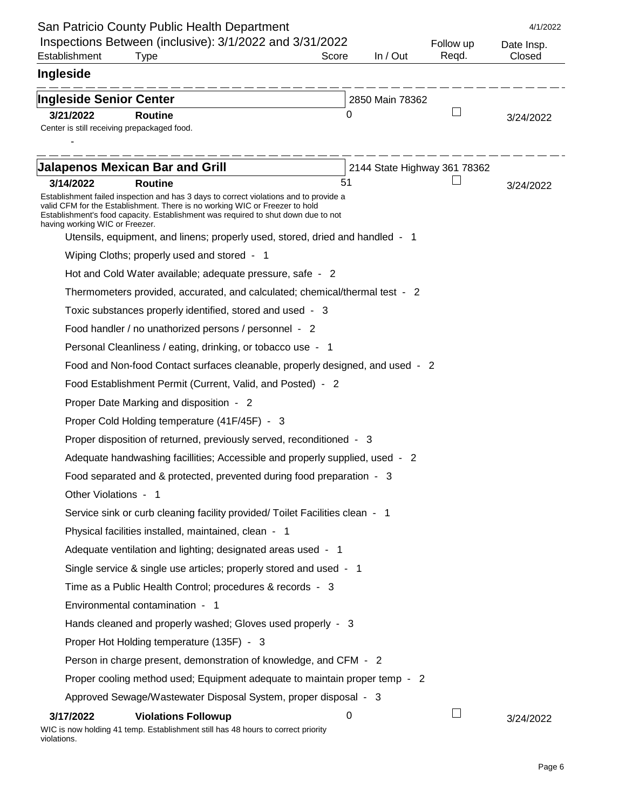|                                             | San Patricio County Public Health Department                                                                                                                                                                                                              |       |                 |                              | 4/1/2022   |
|---------------------------------------------|-----------------------------------------------------------------------------------------------------------------------------------------------------------------------------------------------------------------------------------------------------------|-------|-----------------|------------------------------|------------|
|                                             | Inspections Between (inclusive): 3/1/2022 and 3/31/2022                                                                                                                                                                                                   |       |                 | Follow up                    | Date Insp. |
| Establishment                               | Type                                                                                                                                                                                                                                                      | Score | In / Out        | Regd.                        | Closed     |
| Ingleside                                   |                                                                                                                                                                                                                                                           |       |                 |                              |            |
| <b>Ingleside Senior Center</b>              |                                                                                                                                                                                                                                                           |       | 2850 Main 78362 |                              |            |
| 3/21/2022                                   | <b>Routine</b>                                                                                                                                                                                                                                            | O     |                 |                              | 3/24/2022  |
| Center is still receiving prepackaged food. |                                                                                                                                                                                                                                                           |       |                 |                              |            |
|                                             |                                                                                                                                                                                                                                                           |       |                 |                              |            |
|                                             | <b>Jalapenos Mexican Bar and Grill</b>                                                                                                                                                                                                                    |       |                 | 2144 State Highway 361 78362 |            |
| 3/14/2022                                   | <b>Routine</b>                                                                                                                                                                                                                                            | 51    |                 |                              | 3/24/2022  |
| having working WIC or Freezer.              | Establishment failed inspection and has 3 days to correct violations and to provide a<br>valid CFM for the Establishment. There is no working WIC or Freezer to hold<br>Establishment's food capacity. Establishment was required to shut down due to not |       |                 |                              |            |
|                                             | Utensils, equipment, and linens; properly used, stored, dried and handled - 1                                                                                                                                                                             |       |                 |                              |            |
|                                             | Wiping Cloths; properly used and stored - 1                                                                                                                                                                                                               |       |                 |                              |            |
|                                             | Hot and Cold Water available; adequate pressure, safe - 2                                                                                                                                                                                                 |       |                 |                              |            |
|                                             | Thermometers provided, accurated, and calculated; chemical/thermal test - 2                                                                                                                                                                               |       |                 |                              |            |
|                                             | Toxic substances properly identified, stored and used - 3                                                                                                                                                                                                 |       |                 |                              |            |
|                                             | Food handler / no unathorized persons / personnel - 2                                                                                                                                                                                                     |       |                 |                              |            |
|                                             | Personal Cleanliness / eating, drinking, or tobacco use - 1                                                                                                                                                                                               |       |                 |                              |            |
|                                             | Food and Non-food Contact surfaces cleanable, properly designed, and used - 2                                                                                                                                                                             |       |                 |                              |            |
|                                             | Food Establishment Permit (Current, Valid, and Posted) - 2                                                                                                                                                                                                |       |                 |                              |            |
|                                             | Proper Date Marking and disposition - 2                                                                                                                                                                                                                   |       |                 |                              |            |
|                                             | Proper Cold Holding temperature (41F/45F) - 3                                                                                                                                                                                                             |       |                 |                              |            |
|                                             | Proper disposition of returned, previously served, reconditioned - 3                                                                                                                                                                                      |       |                 |                              |            |
|                                             | Adequate handwashing facillities; Accessible and properly supplied, used - 2                                                                                                                                                                              |       |                 |                              |            |
|                                             | Food separated and & protected, prevented during food preparation - 3                                                                                                                                                                                     |       |                 |                              |            |
| Other Violations - 1                        |                                                                                                                                                                                                                                                           |       |                 |                              |            |
|                                             | Service sink or curb cleaning facility provided/ Toilet Facilities clean - 1                                                                                                                                                                              |       |                 |                              |            |
|                                             | Physical facilities installed, maintained, clean - 1                                                                                                                                                                                                      |       |                 |                              |            |
|                                             | Adequate ventilation and lighting; designated areas used - 1                                                                                                                                                                                              |       |                 |                              |            |
|                                             | Single service & single use articles; properly stored and used - 1                                                                                                                                                                                        |       |                 |                              |            |
|                                             | Time as a Public Health Control; procedures & records - 3                                                                                                                                                                                                 |       |                 |                              |            |
|                                             | Environmental contamination - 1                                                                                                                                                                                                                           |       |                 |                              |            |
|                                             | Hands cleaned and properly washed; Gloves used properly - 3                                                                                                                                                                                               |       |                 |                              |            |
|                                             | Proper Hot Holding temperature (135F) - 3                                                                                                                                                                                                                 |       |                 |                              |            |
|                                             | Person in charge present, demonstration of knowledge, and CFM - 2                                                                                                                                                                                         |       |                 |                              |            |
|                                             | Proper cooling method used; Equipment adequate to maintain proper temp - 2                                                                                                                                                                                |       |                 |                              |            |
|                                             | Approved Sewage/Wastewater Disposal System, proper disposal - 3                                                                                                                                                                                           |       |                 |                              |            |
| 3/17/2022<br>violations.                    | <b>Violations Followup</b><br>WIC is now holding 41 temp. Establishment still has 48 hours to correct priority                                                                                                                                            | 0     |                 |                              | 3/24/2022  |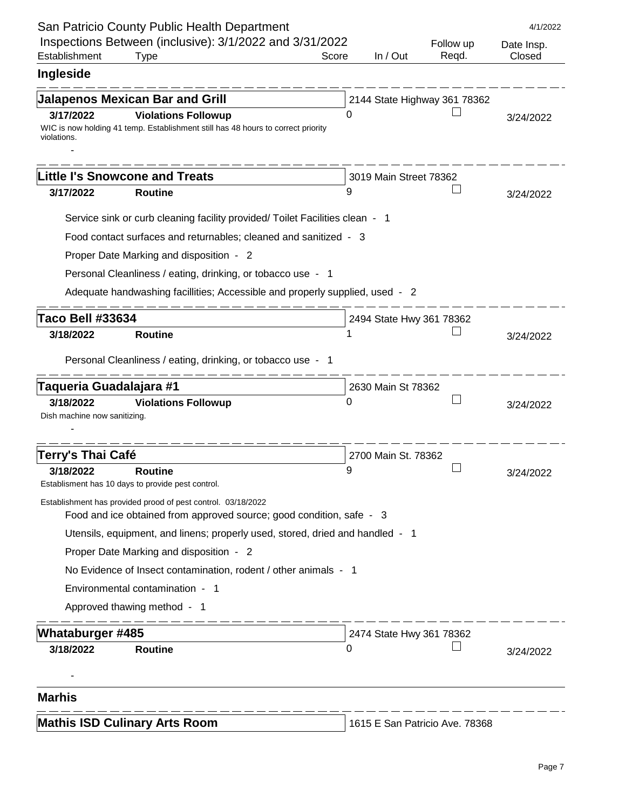|                                           | San Patricio County Public Health Department                                                                                         |       |                          |                                | 4/1/2022             |
|-------------------------------------------|--------------------------------------------------------------------------------------------------------------------------------------|-------|--------------------------|--------------------------------|----------------------|
| Establishment                             | Inspections Between (inclusive): 3/1/2022 and 3/31/2022<br><b>Type</b>                                                               | Score | In / Out                 | Follow up<br>Regd.             | Date Insp.<br>Closed |
| Ingleside                                 |                                                                                                                                      |       |                          |                                |                      |
|                                           | <b>Jalapenos Mexican Bar and Grill</b>                                                                                               |       |                          | 2144 State Highway 361 78362   |                      |
| 3/17/2022<br>violations.                  | <b>Violations Followup</b><br>WIC is now holding 41 temp. Establishment still has 48 hours to correct priority                       | 0     |                          |                                | 3/24/2022            |
|                                           | <b>Little I's Snowcone and Treats</b>                                                                                                |       | 3019 Main Street 78362   |                                |                      |
| 3/17/2022                                 | <b>Routine</b>                                                                                                                       | 9     |                          |                                | 3/24/2022            |
|                                           | Service sink or curb cleaning facility provided/ Toilet Facilities clean - 1                                                         |       |                          |                                |                      |
|                                           | Food contact surfaces and returnables; cleaned and sanitized - 3                                                                     |       |                          |                                |                      |
|                                           | Proper Date Marking and disposition - 2                                                                                              |       |                          |                                |                      |
|                                           | Personal Cleanliness / eating, drinking, or tobacco use - 1                                                                          |       |                          |                                |                      |
|                                           | Adequate handwashing facillities; Accessible and properly supplied, used - 2                                                         |       |                          |                                |                      |
| <b>Taco Bell #33634</b>                   |                                                                                                                                      |       | 2494 State Hwy 361 78362 |                                |                      |
| 3/18/2022                                 | <b>Routine</b>                                                                                                                       |       |                          |                                | 3/24/2022            |
|                                           | Personal Cleanliness / eating, drinking, or tobacco use - 1                                                                          |       |                          |                                |                      |
| Taqueria Guadalajara #1                   |                                                                                                                                      |       | 2630 Main St 78362       |                                |                      |
| 3/18/2022<br>Dish machine now sanitizing. | <b>Violations Followup</b>                                                                                                           | 0     |                          |                                | 3/24/2022            |
|                                           |                                                                                                                                      |       |                          |                                |                      |
| Terry's Thai Café                         |                                                                                                                                      |       | 2700 Main St. 78362      |                                |                      |
| 3/18/2022                                 | <b>Routine</b><br>Establisment has 10 days to provide pest control.                                                                  | 9     |                          |                                | 3/24/2022            |
|                                           | Establishment has provided prood of pest control. 03/18/2022<br>Food and ice obtained from approved source; good condition, safe - 3 |       |                          |                                |                      |
|                                           | Utensils, equipment, and linens; properly used, stored, dried and handled - 1                                                        |       |                          |                                |                      |
|                                           | Proper Date Marking and disposition - 2                                                                                              |       |                          |                                |                      |
|                                           | No Evidence of Insect contamination, rodent / other animals - 1                                                                      |       |                          |                                |                      |
|                                           | Environmental contamination - 1                                                                                                      |       |                          |                                |                      |
|                                           | Approved thawing method - 1                                                                                                          |       |                          |                                |                      |
| <b>Whataburger #485</b>                   |                                                                                                                                      |       | 2474 State Hwy 361 78362 |                                |                      |
| 3/18/2022                                 | <b>Routine</b>                                                                                                                       | 0     |                          |                                | 3/24/2022            |
|                                           |                                                                                                                                      |       |                          |                                |                      |
| <b>Marhis</b>                             |                                                                                                                                      |       |                          |                                |                      |
|                                           | <b>Mathis ISD Culinary Arts Room</b>                                                                                                 |       |                          |                                |                      |
|                                           |                                                                                                                                      |       |                          | 1615 E San Patricio Ave. 78368 |                      |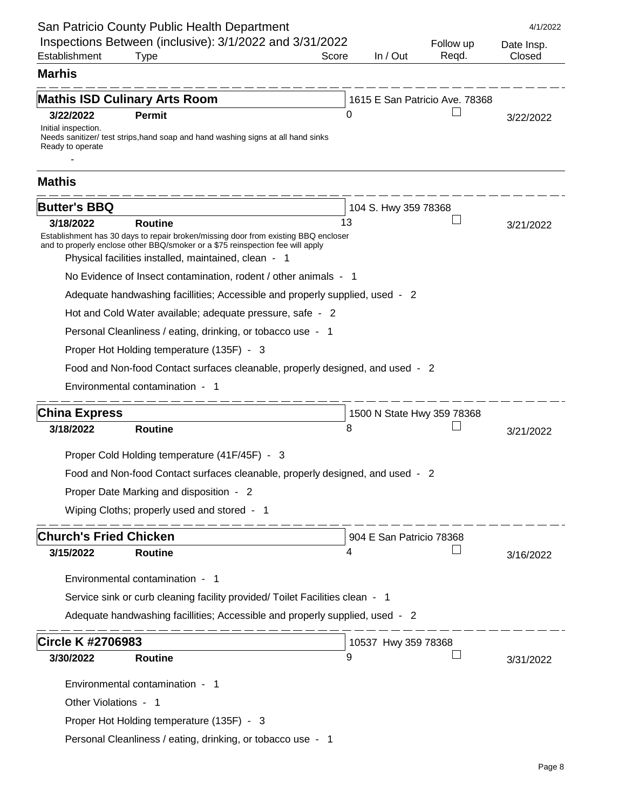| San Patricio County Public Health Department                                                                                                                         |       |          |                                | 4/1/2022   |
|----------------------------------------------------------------------------------------------------------------------------------------------------------------------|-------|----------|--------------------------------|------------|
| Inspections Between (inclusive): 3/1/2022 and 3/31/2022                                                                                                              |       |          | Follow up                      | Date Insp. |
| Establishment<br><b>Type</b>                                                                                                                                         | Score | In / Out | Regd.                          | Closed     |
| <b>Marhis</b>                                                                                                                                                        |       |          |                                |            |
| <b>Mathis ISD Culinary Arts Room</b>                                                                                                                                 |       |          | 1615 E San Patricio Ave. 78368 |            |
| 3/22/2022<br><b>Permit</b>                                                                                                                                           |       | 0        |                                | 3/22/2022  |
| Initial inspection.<br>Needs sanitizer/ test strips, hand soap and hand washing signs at all hand sinks                                                              |       |          |                                |            |
| Ready to operate                                                                                                                                                     |       |          |                                |            |
|                                                                                                                                                                      |       |          |                                |            |
| <b>Mathis</b>                                                                                                                                                        |       |          |                                |            |
| <b>Butter's BBQ</b>                                                                                                                                                  |       |          | 104 S. Hwy 359 78368           |            |
| <b>Routine</b><br>3/18/2022                                                                                                                                          |       | 13       |                                | 3/21/2022  |
| Establishment has 30 days to repair broken/missing door from existing BBQ encloser<br>and to properly enclose other BBQ/smoker or a \$75 reinspection fee will apply |       |          |                                |            |
| Physical facilities installed, maintained, clean - 1                                                                                                                 |       |          |                                |            |
| No Evidence of Insect contamination, rodent / other animals - 1                                                                                                      |       |          |                                |            |
| Adequate handwashing facillities; Accessible and properly supplied, used - 2                                                                                         |       |          |                                |            |
| Hot and Cold Water available; adequate pressure, safe - 2                                                                                                            |       |          |                                |            |
| Personal Cleanliness / eating, drinking, or tobacco use - 1                                                                                                          |       |          |                                |            |
| Proper Hot Holding temperature (135F) - 3                                                                                                                            |       |          |                                |            |
| Food and Non-food Contact surfaces cleanable, properly designed, and used - 2                                                                                        |       |          |                                |            |
| Environmental contamination - 1                                                                                                                                      |       |          |                                |            |
| <b>China Express</b>                                                                                                                                                 |       |          | 1500 N State Hwy 359 78368     |            |
| 3/18/2022<br><b>Routine</b>                                                                                                                                          |       | 8        |                                | 3/21/2022  |
|                                                                                                                                                                      |       |          |                                |            |
| Proper Cold Holding temperature (41F/45F) - 3                                                                                                                        |       |          |                                |            |
| Food and Non-food Contact surfaces cleanable, properly designed, and used - 2                                                                                        |       |          |                                |            |
| Proper Date Marking and disposition - 2                                                                                                                              |       |          |                                |            |
| Wiping Cloths; properly used and stored - 1                                                                                                                          |       |          |                                |            |
| <b>Church's Fried Chicken</b>                                                                                                                                        |       |          | 904 E San Patricio 78368       |            |
| 3/15/2022<br><b>Routine</b>                                                                                                                                          |       | 4        |                                | 3/16/2022  |
| Environmental contamination - 1                                                                                                                                      |       |          |                                |            |
| Service sink or curb cleaning facility provided/ Toilet Facilities clean - 1                                                                                         |       |          |                                |            |
| Adequate handwashing facillities; Accessible and properly supplied, used - 2                                                                                         |       |          |                                |            |
|                                                                                                                                                                      |       |          |                                |            |
| <b>Circle K #2706983</b>                                                                                                                                             |       |          | 10537 Hwy 359 78368            |            |
| 3/30/2022<br><b>Routine</b>                                                                                                                                          |       | 9        |                                | 3/31/2022  |
| Environmental contamination - 1                                                                                                                                      |       |          |                                |            |
| Other Violations - 1                                                                                                                                                 |       |          |                                |            |
| Proper Hot Holding temperature (135F) - 3                                                                                                                            |       |          |                                |            |
| Personal Cleanliness / eating, drinking, or tobacco use - 1                                                                                                          |       |          |                                |            |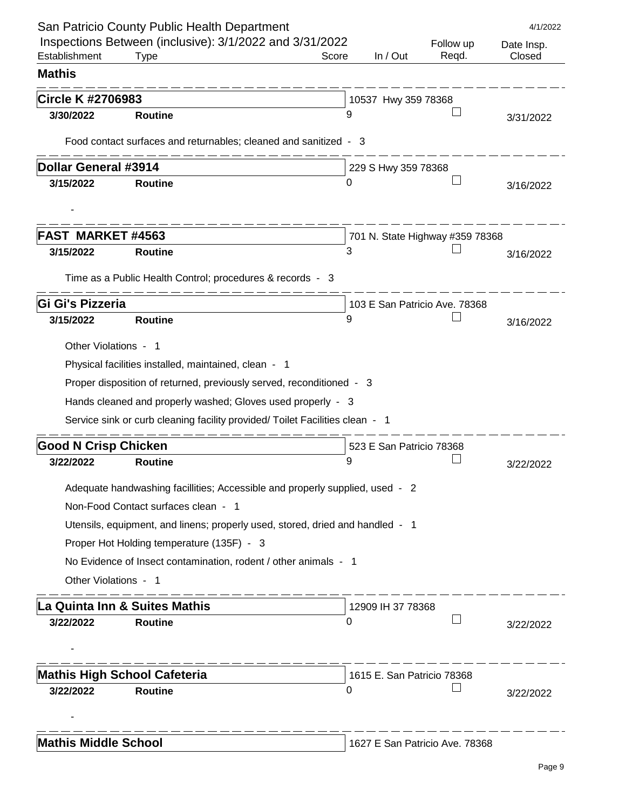| Inspections Between (inclusive): 3/1/2022 and 3/31/2022<br>Follow up<br>Establishment<br>In / Out<br>Regd.<br><b>Type</b><br>Score<br><b>Mathis</b><br><b>Circle K #2706983</b><br>10537 Hwy 359 78368<br>3/30/2022<br><b>Routine</b><br>9<br>Food contact surfaces and returnables; cleaned and sanitized - 3<br><b>Dollar General #3914</b><br>229 S Hwy 359 78368<br>3/15/2022<br><b>Routine</b><br>0 | Date Insp.<br>Closed<br>3/31/2022 |
|----------------------------------------------------------------------------------------------------------------------------------------------------------------------------------------------------------------------------------------------------------------------------------------------------------------------------------------------------------------------------------------------------------|-----------------------------------|
|                                                                                                                                                                                                                                                                                                                                                                                                          |                                   |
|                                                                                                                                                                                                                                                                                                                                                                                                          |                                   |
|                                                                                                                                                                                                                                                                                                                                                                                                          |                                   |
|                                                                                                                                                                                                                                                                                                                                                                                                          |                                   |
|                                                                                                                                                                                                                                                                                                                                                                                                          |                                   |
|                                                                                                                                                                                                                                                                                                                                                                                                          |                                   |
|                                                                                                                                                                                                                                                                                                                                                                                                          |                                   |
|                                                                                                                                                                                                                                                                                                                                                                                                          | 3/16/2022                         |
|                                                                                                                                                                                                                                                                                                                                                                                                          |                                   |
|                                                                                                                                                                                                                                                                                                                                                                                                          |                                   |
| <b>FAST MARKET#4563</b><br>701 N. State Highway #359 78368                                                                                                                                                                                                                                                                                                                                               |                                   |
| 3<br>3/15/2022<br><b>Routine</b>                                                                                                                                                                                                                                                                                                                                                                         | 3/16/2022                         |
| Time as a Public Health Control; procedures & records - 3                                                                                                                                                                                                                                                                                                                                                |                                   |
| Gi Gi's Pizzeria<br>103 E San Patricio Ave. 78368                                                                                                                                                                                                                                                                                                                                                        |                                   |
| 9<br>3/15/2022<br><b>Routine</b>                                                                                                                                                                                                                                                                                                                                                                         | 3/16/2022                         |
|                                                                                                                                                                                                                                                                                                                                                                                                          |                                   |
| Other Violations - 1                                                                                                                                                                                                                                                                                                                                                                                     |                                   |
| Physical facilities installed, maintained, clean - 1                                                                                                                                                                                                                                                                                                                                                     |                                   |
| Proper disposition of returned, previously served, reconditioned - 3                                                                                                                                                                                                                                                                                                                                     |                                   |
| Hands cleaned and properly washed; Gloves used properly - 3                                                                                                                                                                                                                                                                                                                                              |                                   |
| Service sink or curb cleaning facility provided/ Toilet Facilities clean - 1                                                                                                                                                                                                                                                                                                                             |                                   |
| <b>Good N Crisp Chicken</b><br>523 E San Patricio 78368                                                                                                                                                                                                                                                                                                                                                  |                                   |
| 3/22/2022<br><b>Routine</b><br>9                                                                                                                                                                                                                                                                                                                                                                         | 3/22/2022                         |
| Adequate handwashing facillities; Accessible and properly supplied, used - 2                                                                                                                                                                                                                                                                                                                             |                                   |
| Non-Food Contact surfaces clean - 1                                                                                                                                                                                                                                                                                                                                                                      |                                   |
|                                                                                                                                                                                                                                                                                                                                                                                                          |                                   |
| Utensils, equipment, and linens; properly used, stored, dried and handled - 1                                                                                                                                                                                                                                                                                                                            |                                   |
| Proper Hot Holding temperature (135F) - 3                                                                                                                                                                                                                                                                                                                                                                |                                   |
| No Evidence of Insect contamination, rodent / other animals - 1                                                                                                                                                                                                                                                                                                                                          |                                   |
| Other Violations - 1                                                                                                                                                                                                                                                                                                                                                                                     |                                   |
| La Quinta Inn & Suites Mathis<br>12909 IH 37 78368                                                                                                                                                                                                                                                                                                                                                       |                                   |
| 3/22/2022<br><b>Routine</b><br>0                                                                                                                                                                                                                                                                                                                                                                         | 3/22/2022                         |
|                                                                                                                                                                                                                                                                                                                                                                                                          |                                   |
|                                                                                                                                                                                                                                                                                                                                                                                                          |                                   |
| <b>Mathis High School Cafeteria</b><br>1615 E. San Patricio 78368                                                                                                                                                                                                                                                                                                                                        |                                   |
| 3/22/2022<br><b>Routine</b><br>0                                                                                                                                                                                                                                                                                                                                                                         | 3/22/2022                         |
|                                                                                                                                                                                                                                                                                                                                                                                                          |                                   |
| <b>Mathis Middle School</b><br>1627 E San Patricio Ave. 78368                                                                                                                                                                                                                                                                                                                                            |                                   |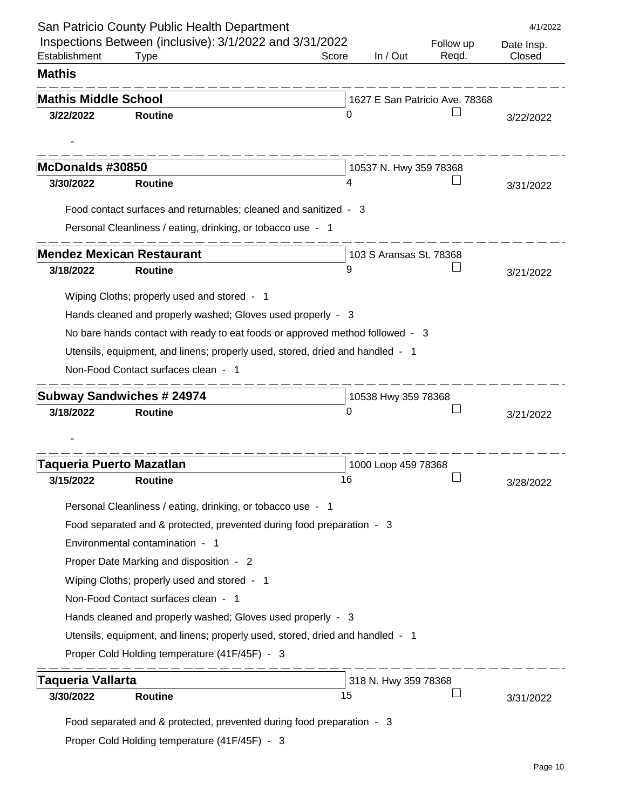|                                 | San Patricio County Public Health Department                                                                         |       |                         |                                | 4/1/2022   |
|---------------------------------|----------------------------------------------------------------------------------------------------------------------|-------|-------------------------|--------------------------------|------------|
|                                 | Inspections Between (inclusive): 3/1/2022 and 3/31/2022                                                              |       |                         | Follow up                      | Date Insp. |
| Establishment                   | <b>Type</b>                                                                                                          | Score | In / Out                | Regd.                          | Closed     |
| <b>Mathis</b>                   |                                                                                                                      |       |                         |                                |            |
| <b>Mathis Middle School</b>     |                                                                                                                      |       |                         | 1627 E San Patricio Ave. 78368 |            |
| 3/22/2022                       | <b>Routine</b>                                                                                                       | 0     |                         |                                | 3/22/2022  |
|                                 |                                                                                                                      |       |                         |                                |            |
| McDonalds #30850                |                                                                                                                      |       | 10537 N. Hwy 359 78368  |                                |            |
| 3/30/2022                       | <b>Routine</b>                                                                                                       |       |                         |                                | 3/31/2022  |
|                                 | Food contact surfaces and returnables; cleaned and sanitized - 3                                                     |       |                         |                                |            |
|                                 | Personal Cleanliness / eating, drinking, or tobacco use - 1                                                          |       |                         |                                |            |
|                                 | <b>Mendez Mexican Restaurant</b>                                                                                     |       | 103 S Aransas St. 78368 |                                |            |
| 3/18/2022                       | <b>Routine</b>                                                                                                       | 9     |                         |                                | 3/21/2022  |
|                                 | Wiping Cloths; properly used and stored - 1                                                                          |       |                         |                                |            |
|                                 | Hands cleaned and properly washed; Gloves used properly - 3                                                          |       |                         |                                |            |
|                                 |                                                                                                                      |       |                         |                                |            |
|                                 | No bare hands contact with ready to eat foods or approved method followed - 3                                        |       |                         |                                |            |
|                                 |                                                                                                                      |       |                         |                                |            |
|                                 | Utensils, equipment, and linens; properly used, stored, dried and handled - 1<br>Non-Food Contact surfaces clean - 1 |       |                         |                                |            |
|                                 |                                                                                                                      |       |                         |                                |            |
|                                 | <b>Subway Sandwiches # 24974</b>                                                                                     |       | 10538 Hwy 359 78368     |                                |            |
| 3/18/2022                       | <b>Routine</b>                                                                                                       | 0     |                         |                                | 3/21/2022  |
|                                 |                                                                                                                      |       |                         |                                |            |
|                                 |                                                                                                                      |       |                         |                                |            |
| 3/15/2022                       | <b>Routine</b>                                                                                                       | 16    | 1000 Loop 459 78368     |                                |            |
|                                 |                                                                                                                      |       |                         |                                | 3/28/2022  |
|                                 | Personal Cleanliness / eating, drinking, or tobacco use - 1                                                          |       |                         |                                |            |
|                                 | Food separated and & protected, prevented during food preparation - 3                                                |       |                         |                                |            |
|                                 | Environmental contamination - 1                                                                                      |       |                         |                                |            |
|                                 | Proper Date Marking and disposition - 2                                                                              |       |                         |                                |            |
|                                 | Wiping Cloths; properly used and stored - 1                                                                          |       |                         |                                |            |
|                                 | Non-Food Contact surfaces clean - 1                                                                                  |       |                         |                                |            |
|                                 | Hands cleaned and properly washed; Gloves used properly - 3                                                          |       |                         |                                |            |
|                                 | Utensils, equipment, and linens; properly used, stored, dried and handled - 1                                        |       |                         |                                |            |
| <b>Taqueria Puerto Mazatlan</b> | Proper Cold Holding temperature (41F/45F) - 3                                                                        |       |                         |                                |            |
| <b>Taqueria Vallarta</b>        |                                                                                                                      |       | 318 N. Hwy 359 78368    |                                |            |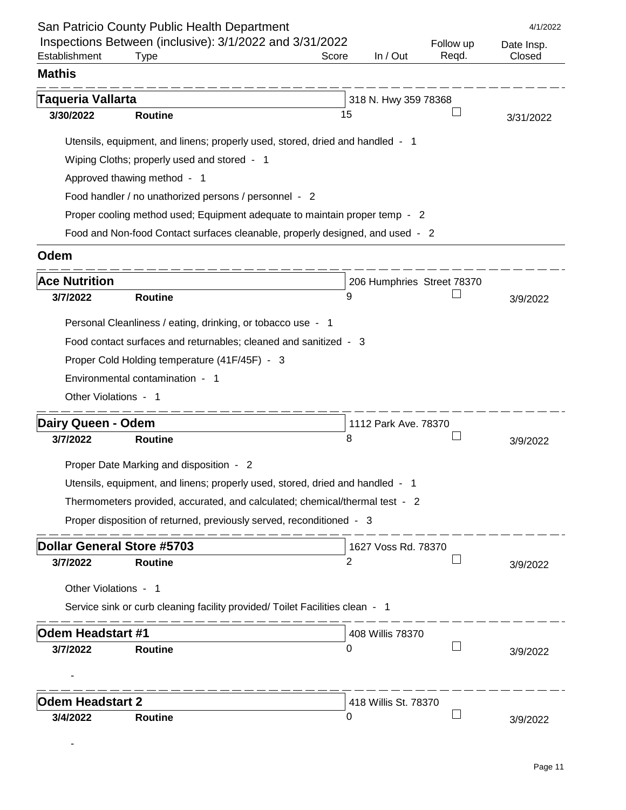|                                       | San Patricio County Public Health Department                                  |       |                      |                            | 4/1/2022   |
|---------------------------------------|-------------------------------------------------------------------------------|-------|----------------------|----------------------------|------------|
|                                       | Inspections Between (inclusive): 3/1/2022 and 3/31/2022                       |       |                      | Follow up                  | Date Insp. |
| Establishment                         | Type                                                                          | Score | In / Out             | Regd.                      | Closed     |
| <b>Mathis</b>                         |                                                                               |       |                      |                            |            |
| <b>Taqueria Vallarta</b>              |                                                                               |       | 318 N. Hwy 359 78368 |                            |            |
| 3/30/2022                             | <b>Routine</b>                                                                | 15    |                      |                            | 3/31/2022  |
|                                       | Utensils, equipment, and linens; properly used, stored, dried and handled - 1 |       |                      |                            |            |
|                                       | Wiping Cloths; properly used and stored - 1                                   |       |                      |                            |            |
|                                       | Approved thawing method - 1                                                   |       |                      |                            |            |
|                                       | Food handler / no unathorized persons / personnel - 2                         |       |                      |                            |            |
|                                       | Proper cooling method used; Equipment adequate to maintain proper temp - 2    |       |                      |                            |            |
|                                       | Food and Non-food Contact surfaces cleanable, properly designed, and used - 2 |       |                      |                            |            |
|                                       |                                                                               |       |                      |                            |            |
| Odem                                  |                                                                               |       |                      |                            |            |
| <b>Ace Nutrition</b>                  |                                                                               |       |                      | 206 Humphries Street 78370 |            |
| 3/7/2022                              | <b>Routine</b>                                                                | 9     |                      |                            | 3/9/2022   |
|                                       | Personal Cleanliness / eating, drinking, or tobacco use - 1                   |       |                      |                            |            |
|                                       | Food contact surfaces and returnables; cleaned and sanitized - 3              |       |                      |                            |            |
|                                       | Proper Cold Holding temperature (41F/45F) - 3                                 |       |                      |                            |            |
|                                       | Environmental contamination - 1                                               |       |                      |                            |            |
| Other Violations - 1                  |                                                                               |       |                      |                            |            |
|                                       |                                                                               |       |                      |                            |            |
| <b>Dairy Queen - Odem</b><br>3/7/2022 | <b>Routine</b>                                                                | 8     | 1112 Park Ave. 78370 |                            | 3/9/2022   |
|                                       |                                                                               |       |                      |                            |            |
|                                       | Proper Date Marking and disposition - 2                                       |       |                      |                            |            |
|                                       | Utensils, equipment, and linens; properly used, stored, dried and handled - 1 |       |                      |                            |            |
|                                       | Thermometers provided, accurated, and calculated; chemical/thermal test - 2   |       |                      |                            |            |
|                                       | Proper disposition of returned, previously served, reconditioned - 3          |       |                      |                            |            |
| <b>Dollar General Store #5703</b>     |                                                                               |       | 1627 Voss Rd. 78370  |                            |            |
| 3/7/2022                              | <b>Routine</b>                                                                | 2     |                      |                            | 3/9/2022   |
| Other Violations - 1                  |                                                                               |       |                      |                            |            |
|                                       | Service sink or curb cleaning facility provided/ Toilet Facilities clean - 1  |       |                      |                            |            |
|                                       |                                                                               |       |                      |                            |            |
| <b>Odem Headstart #1</b>              |                                                                               |       | 408 Willis 78370     |                            |            |
| 3/7/2022                              | <b>Routine</b>                                                                | 0     |                      |                            | 3/9/2022   |
|                                       |                                                                               |       |                      |                            |            |
| <b>Odem Headstart 2</b>               |                                                                               |       | 418 Willis St. 78370 |                            |            |
| 3/4/2022                              | <b>Routine</b>                                                                | 0     |                      |                            | 3/9/2022   |
|                                       |                                                                               |       |                      |                            |            |

-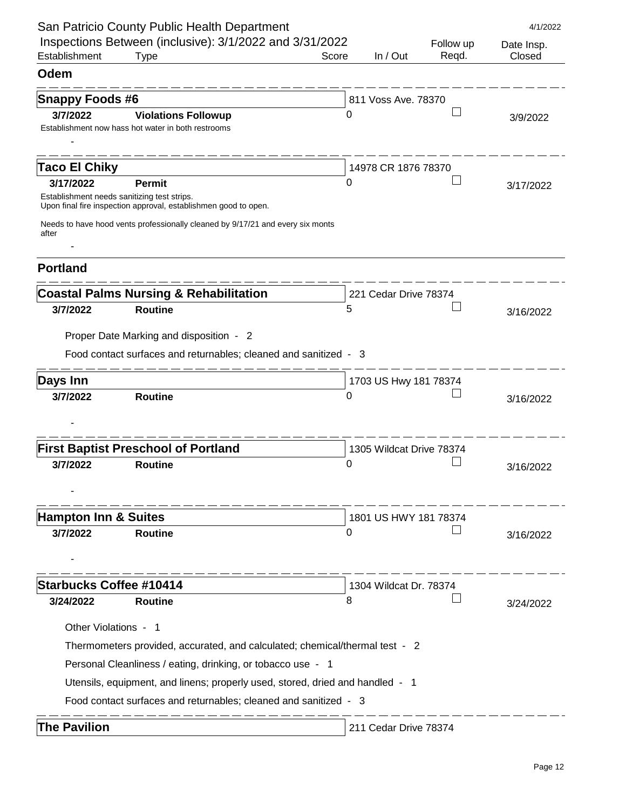|                                 | San Patricio County Public Health Department                                                                   |       |                          |                    | 4/1/2022             |
|---------------------------------|----------------------------------------------------------------------------------------------------------------|-------|--------------------------|--------------------|----------------------|
| Establishment                   | Inspections Between (inclusive): 3/1/2022 and 3/31/2022<br><b>Type</b>                                         | Score | In / Out                 | Follow up<br>Regd. | Date Insp.<br>Closed |
| Odem                            |                                                                                                                |       |                          |                    |                      |
| <b>Snappy Foods #6</b>          |                                                                                                                |       | 811 Voss Ave. 78370      |                    |                      |
| 3/7/2022                        | <b>Violations Followup</b>                                                                                     | 0     |                          |                    | 3/9/2022             |
|                                 | Establishment now hass hot water in both restrooms                                                             |       |                          |                    |                      |
|                                 |                                                                                                                |       |                          |                    |                      |
| <b>Taco El Chiky</b>            |                                                                                                                |       | 14978 CR 1876 78370      |                    |                      |
| 3/17/2022                       | <b>Permit</b>                                                                                                  | 0     |                          |                    | 3/17/2022            |
|                                 | Establishment needs sanitizing test strips.<br>Upon final fire inspection approval, establishmen good to open. |       |                          |                    |                      |
| after                           | Needs to have hood vents professionally cleaned by 9/17/21 and every six monts                                 |       |                          |                    |                      |
|                                 |                                                                                                                |       |                          |                    |                      |
| <b>Portland</b>                 |                                                                                                                |       |                          |                    |                      |
|                                 | <b>Coastal Palms Nursing &amp; Rehabilitation</b>                                                              |       | 221 Cedar Drive 78374    |                    |                      |
| 3/7/2022                        | <b>Routine</b>                                                                                                 | 5     |                          |                    | 3/16/2022            |
|                                 | Proper Date Marking and disposition - 2                                                                        |       |                          |                    |                      |
|                                 | Food contact surfaces and returnables; cleaned and sanitized - 3                                               |       |                          |                    |                      |
| <b>Days Inn</b>                 |                                                                                                                |       | 1703 US Hwy 181 78374    |                    |                      |
| 3/7/2022                        | <b>Routine</b>                                                                                                 | O     |                          |                    | 3/16/2022            |
|                                 |                                                                                                                |       |                          |                    |                      |
|                                 | <b>First Baptist Preschool of Portland</b>                                                                     |       | 1305 Wildcat Drive 78374 |                    |                      |
| 3/7/2022                        | <b>Routine</b>                                                                                                 | 0     |                          |                    | 3/16/2022            |
|                                 |                                                                                                                |       |                          |                    |                      |
| <b>Hampton Inn &amp; Suites</b> |                                                                                                                |       | 1801 US HWY 181 78374    |                    |                      |
| 3/7/2022                        | <b>Routine</b>                                                                                                 | 0     |                          |                    | 3/16/2022            |
|                                 |                                                                                                                |       |                          |                    |                      |
|                                 |                                                                                                                |       |                          |                    |                      |
| <b>Starbucks Coffee #10414</b>  |                                                                                                                |       | 1304 Wildcat Dr. 78374   |                    |                      |
| 3/24/2022                       | <b>Routine</b>                                                                                                 | 8     |                          |                    | 3/24/2022            |
| Other Violations - 1            |                                                                                                                |       |                          |                    |                      |
|                                 | Thermometers provided, accurated, and calculated; chemical/thermal test - 2                                    |       |                          |                    |                      |
|                                 | Personal Cleanliness / eating, drinking, or tobacco use - 1                                                    |       |                          |                    |                      |
|                                 | Utensils, equipment, and linens; properly used, stored, dried and handled - 1                                  |       |                          |                    |                      |
|                                 | Food contact surfaces and returnables; cleaned and sanitized - 3                                               |       |                          |                    |                      |
| <b>The Pavilion</b>             |                                                                                                                |       | 211 Cedar Drive 78374    |                    |                      |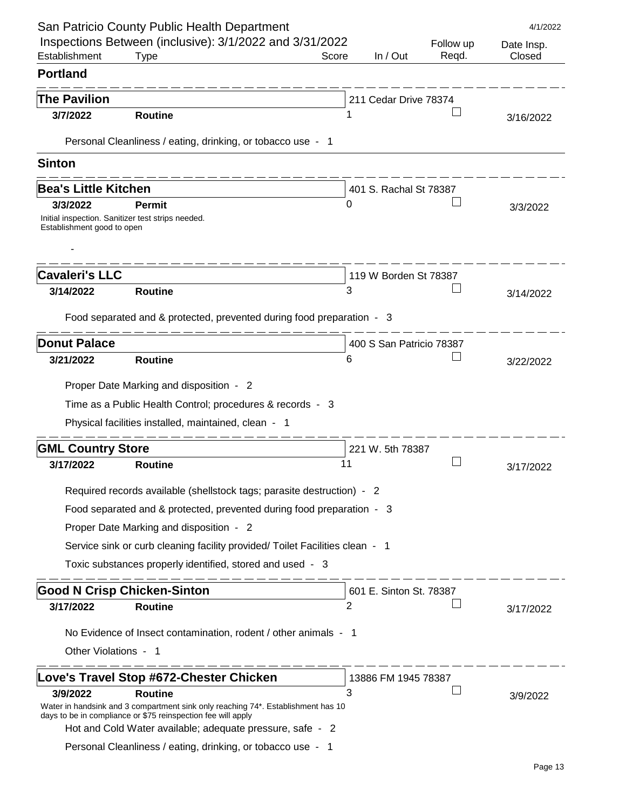|                                       | San Patricio County Public Health Department                                                                              |       |                         |           | 4/1/2022   |
|---------------------------------------|---------------------------------------------------------------------------------------------------------------------------|-------|-------------------------|-----------|------------|
|                                       | Inspections Between (inclusive): 3/1/2022 and 3/31/2022                                                                   |       |                         | Follow up | Date Insp. |
| Establishment                         | <b>Type</b>                                                                                                               | Score | In / Out                | Regd.     | Closed     |
| <b>Portland</b>                       |                                                                                                                           |       |                         |           |            |
| <b>The Pavilion</b>                   |                                                                                                                           |       | 211 Cedar Drive 78374   |           |            |
| 3/7/2022                              | <b>Routine</b>                                                                                                            |       |                         |           | 3/16/2022  |
|                                       | Personal Cleanliness / eating, drinking, or tobacco use - 1                                                               |       |                         |           |            |
| <b>Sinton</b>                         |                                                                                                                           |       |                         |           |            |
|                                       |                                                                                                                           |       |                         |           |            |
| <b>Bea's Little Kitchen</b>           |                                                                                                                           |       | 401 S. Rachal St 78387  |           |            |
| 3/3/2022                              | <b>Permit</b><br>Initial inspection. Sanitizer test strips needed.                                                        | 0     |                         |           | 3/3/2022   |
| Establishment good to open            |                                                                                                                           |       |                         |           |            |
|                                       |                                                                                                                           |       |                         |           |            |
| <b>Cavaleri's LLC</b>                 |                                                                                                                           |       | 119 W Borden St 78387   |           |            |
| 3/14/2022                             | <b>Routine</b>                                                                                                            | 3     |                         |           | 3/14/2022  |
|                                       |                                                                                                                           |       |                         |           |            |
|                                       | Food separated and & protected, prevented during food preparation - 3                                                     |       |                         |           |            |
| <b>Donut Palace</b>                   | 400 S San Patricio 78387                                                                                                  |       |                         |           |            |
| 3/21/2022                             | <b>Routine</b>                                                                                                            | 6     |                         |           | 3/22/2022  |
|                                       | Proper Date Marking and disposition - 2                                                                                   |       |                         |           |            |
|                                       | Time as a Public Health Control; procedures & records - 3                                                                 |       |                         |           |            |
|                                       | Physical facilities installed, maintained, clean - 1                                                                      |       |                         |           |            |
|                                       |                                                                                                                           |       |                         |           |            |
| <b>GML Country Store</b><br>3/17/2022 | <b>Routine</b>                                                                                                            | 11    | 221 W. 5th 78387        |           |            |
|                                       |                                                                                                                           |       |                         |           | 3/17/2022  |
|                                       | Required records available (shellstock tags; parasite destruction) - 2                                                    |       |                         |           |            |
|                                       | Food separated and & protected, prevented during food preparation - 3                                                     |       |                         |           |            |
|                                       | Proper Date Marking and disposition - 2                                                                                   |       |                         |           |            |
|                                       | Service sink or curb cleaning facility provided/ Toilet Facilities clean - 1                                              |       |                         |           |            |
|                                       | Toxic substances properly identified, stored and used - 3                                                                 |       |                         |           |            |
|                                       | <b>Good N Crisp Chicken-Sinton</b>                                                                                        |       | 601 E. Sinton St. 78387 |           |            |
| 3/17/2022                             | <b>Routine</b>                                                                                                            | 2     |                         |           | 3/17/2022  |
|                                       | No Evidence of Insect contamination, rodent / other animals - 1                                                           |       |                         |           |            |
| Other Violations - 1                  |                                                                                                                           |       |                         |           |            |
|                                       |                                                                                                                           |       |                         |           |            |
|                                       | Love's Travel Stop #672-Chester Chicken                                                                                   |       | 13886 FM 1945 78387     |           |            |
| 3/9/2022                              | <b>Routine</b><br>Water in handsink and 3 compartment sink only reaching 74*. Establishment has 10                        | 3     |                         |           | 3/9/2022   |
|                                       | days to be in compliance or \$75 reinspection fee will apply<br>Hot and Cold Water available; adequate pressure, safe - 2 |       |                         |           |            |
|                                       | Personal Cleanliness / eating, drinking, or tobacco use - 1                                                               |       |                         |           |            |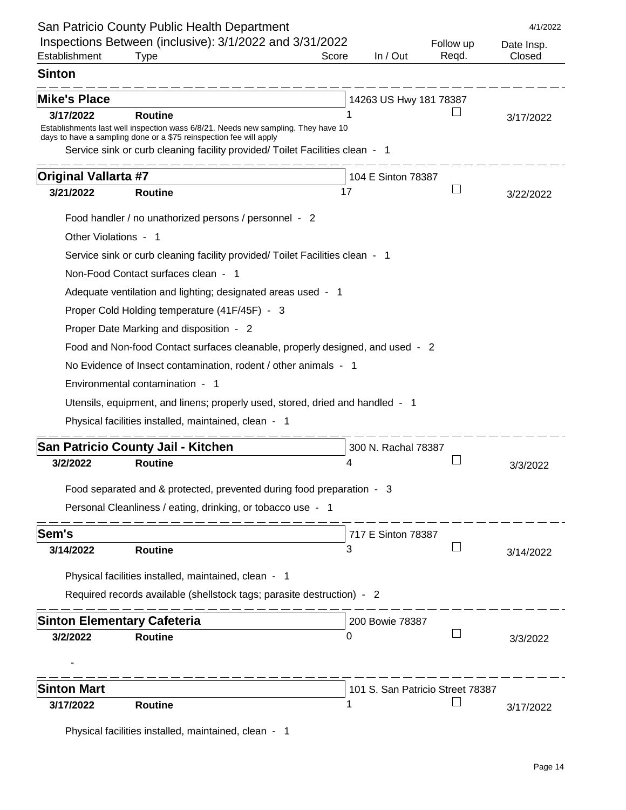|                             | San Patricio County Public Health Department                                                                                                            |       |                                  |           | 4/1/2022   |
|-----------------------------|---------------------------------------------------------------------------------------------------------------------------------------------------------|-------|----------------------------------|-----------|------------|
|                             | Inspections Between (inclusive): 3/1/2022 and 3/31/2022                                                                                                 |       |                                  | Follow up | Date Insp. |
| Establishment               | <b>Type</b>                                                                                                                                             | Score | In / Out                         | Regd.     | Closed     |
| <b>Sinton</b>               |                                                                                                                                                         |       |                                  |           |            |
| <b>Mike's Place</b>         |                                                                                                                                                         |       | 14263 US Hwy 181 78387           |           |            |
| 3/17/2022                   | <b>Routine</b>                                                                                                                                          |       |                                  |           | 3/17/2022  |
|                             | Establishments last well inspection wass 6/8/21. Needs new sampling. They have 10<br>days to have a sampling done or a \$75 reinspection fee will apply |       |                                  |           |            |
|                             | Service sink or curb cleaning facility provided/ Toilet Facilities clean - 1                                                                            |       |                                  |           |            |
| <b>Original Vallarta #7</b> |                                                                                                                                                         |       | 104 E Sinton 78387               |           |            |
| 3/21/2022                   | <b>Routine</b>                                                                                                                                          | 17    |                                  |           | 3/22/2022  |
|                             | Food handler / no unathorized persons / personnel - 2                                                                                                   |       |                                  |           |            |
| Other Violations - 1        |                                                                                                                                                         |       |                                  |           |            |
|                             | Service sink or curb cleaning facility provided/ Toilet Facilities clean - 1                                                                            |       |                                  |           |            |
|                             | Non-Food Contact surfaces clean - 1                                                                                                                     |       |                                  |           |            |
|                             | Adequate ventilation and lighting; designated areas used - 1                                                                                            |       |                                  |           |            |
|                             | Proper Cold Holding temperature (41F/45F) - 3                                                                                                           |       |                                  |           |            |
|                             | Proper Date Marking and disposition - 2                                                                                                                 |       |                                  |           |            |
|                             | Food and Non-food Contact surfaces cleanable, properly designed, and used - 2                                                                           |       |                                  |           |            |
|                             | No Evidence of Insect contamination, rodent / other animals - 1                                                                                         |       |                                  |           |            |
|                             | Environmental contamination - 1                                                                                                                         |       |                                  |           |            |
|                             | Utensils, equipment, and linens; properly used, stored, dried and handled - 1                                                                           |       |                                  |           |            |
|                             | Physical facilities installed, maintained, clean - 1                                                                                                    |       |                                  |           |            |
|                             |                                                                                                                                                         |       |                                  |           |            |
| 3/2/2022                    | <b>San Patricio County Jail - Kitchen</b><br><b>Routine</b>                                                                                             | 4     | 300 N. Rachal 78387              |           |            |
|                             |                                                                                                                                                         |       |                                  |           | 3/3/2022   |
|                             | Food separated and & protected, prevented during food preparation - 3                                                                                   |       |                                  |           |            |
|                             | Personal Cleanliness / eating, drinking, or tobacco use - 1                                                                                             |       |                                  |           |            |
| Sem's                       |                                                                                                                                                         |       | 717 E Sinton 78387               |           |            |
| 3/14/2022                   | <b>Routine</b>                                                                                                                                          | З     |                                  |           | 3/14/2022  |
|                             | Physical facilities installed, maintained, clean - 1                                                                                                    |       |                                  |           |            |
|                             | Required records available (shellstock tags; parasite destruction) - 2                                                                                  |       |                                  |           |            |
|                             |                                                                                                                                                         |       |                                  |           |            |
|                             | <b>Sinton Elementary Cafeteria</b>                                                                                                                      |       | 200 Bowie 78387                  |           |            |
| 3/2/2022                    | <b>Routine</b>                                                                                                                                          | O     |                                  |           | 3/3/2022   |
|                             |                                                                                                                                                         |       |                                  |           |            |
| <b>Sinton Mart</b>          |                                                                                                                                                         |       | 101 S. San Patricio Street 78387 |           |            |
| 3/17/2022                   | <b>Routine</b>                                                                                                                                          | 1     |                                  |           | 3/17/2022  |
|                             |                                                                                                                                                         |       |                                  |           |            |

Physical facilities installed, maintained, clean - 1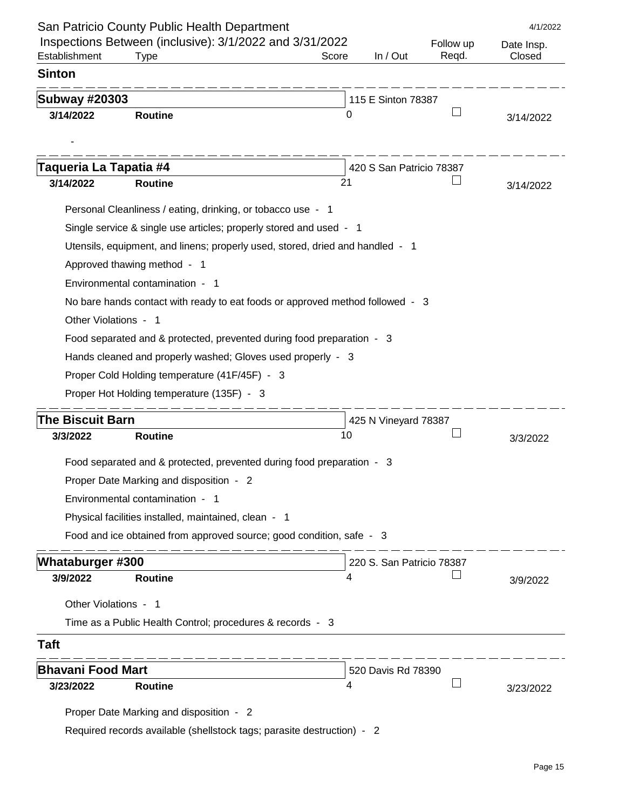| Inspections Between (inclusive): 3/1/2022 and 3/31/2022<br>Establishment<br><b>Type</b><br>Score<br><b>Sinton</b><br><b>Subway #20303</b><br>3/14/2022<br><b>Routine</b><br>0<br>Taqueria La Tapatia #4<br>3/14/2022<br>21<br><b>Routine</b><br>Personal Cleanliness / eating, drinking, or tobacco use - 1<br>Single service & single use articles; properly stored and used - 1<br>Utensils, equipment, and linens; properly used, stored, dried and handled - 1<br>Approved thawing method - 1<br>Environmental contamination - 1<br>No bare hands contact with ready to eat foods or approved method followed - 3<br>Other Violations - 1<br>Food separated and & protected, prevented during food preparation - 3<br>Hands cleaned and properly washed; Gloves used properly - 3<br>Proper Cold Holding temperature (41F/45F) - 3<br>Proper Hot Holding temperature (135F) - 3<br><b>The Biscuit Barn</b><br>10<br>3/3/2022<br><b>Routine</b><br>Food separated and & protected, prevented during food preparation - 3<br>Proper Date Marking and disposition - 2<br>Environmental contamination - 1<br>Physical facilities installed, maintained, clean - 1<br>Food and ice obtained from approved source; good condition, safe - 3<br><b>Whataburger #300</b> | In / Out<br>115 E Sinton 78387<br>420 S San Patricio 78387 | Follow up<br>Regd. | Date Insp.<br>Closed<br>3/14/2022<br>3/14/2022 |
|----------------------------------------------------------------------------------------------------------------------------------------------------------------------------------------------------------------------------------------------------------------------------------------------------------------------------------------------------------------------------------------------------------------------------------------------------------------------------------------------------------------------------------------------------------------------------------------------------------------------------------------------------------------------------------------------------------------------------------------------------------------------------------------------------------------------------------------------------------------------------------------------------------------------------------------------------------------------------------------------------------------------------------------------------------------------------------------------------------------------------------------------------------------------------------------------------------------------------------------------------------------------|------------------------------------------------------------|--------------------|------------------------------------------------|
|                                                                                                                                                                                                                                                                                                                                                                                                                                                                                                                                                                                                                                                                                                                                                                                                                                                                                                                                                                                                                                                                                                                                                                                                                                                                      |                                                            |                    |                                                |
|                                                                                                                                                                                                                                                                                                                                                                                                                                                                                                                                                                                                                                                                                                                                                                                                                                                                                                                                                                                                                                                                                                                                                                                                                                                                      |                                                            |                    |                                                |
|                                                                                                                                                                                                                                                                                                                                                                                                                                                                                                                                                                                                                                                                                                                                                                                                                                                                                                                                                                                                                                                                                                                                                                                                                                                                      |                                                            |                    |                                                |
|                                                                                                                                                                                                                                                                                                                                                                                                                                                                                                                                                                                                                                                                                                                                                                                                                                                                                                                                                                                                                                                                                                                                                                                                                                                                      |                                                            |                    |                                                |
|                                                                                                                                                                                                                                                                                                                                                                                                                                                                                                                                                                                                                                                                                                                                                                                                                                                                                                                                                                                                                                                                                                                                                                                                                                                                      |                                                            |                    |                                                |
|                                                                                                                                                                                                                                                                                                                                                                                                                                                                                                                                                                                                                                                                                                                                                                                                                                                                                                                                                                                                                                                                                                                                                                                                                                                                      |                                                            |                    |                                                |
|                                                                                                                                                                                                                                                                                                                                                                                                                                                                                                                                                                                                                                                                                                                                                                                                                                                                                                                                                                                                                                                                                                                                                                                                                                                                      |                                                            |                    |                                                |
|                                                                                                                                                                                                                                                                                                                                                                                                                                                                                                                                                                                                                                                                                                                                                                                                                                                                                                                                                                                                                                                                                                                                                                                                                                                                      |                                                            |                    |                                                |
|                                                                                                                                                                                                                                                                                                                                                                                                                                                                                                                                                                                                                                                                                                                                                                                                                                                                                                                                                                                                                                                                                                                                                                                                                                                                      |                                                            |                    |                                                |
|                                                                                                                                                                                                                                                                                                                                                                                                                                                                                                                                                                                                                                                                                                                                                                                                                                                                                                                                                                                                                                                                                                                                                                                                                                                                      |                                                            |                    |                                                |
|                                                                                                                                                                                                                                                                                                                                                                                                                                                                                                                                                                                                                                                                                                                                                                                                                                                                                                                                                                                                                                                                                                                                                                                                                                                                      |                                                            |                    |                                                |
|                                                                                                                                                                                                                                                                                                                                                                                                                                                                                                                                                                                                                                                                                                                                                                                                                                                                                                                                                                                                                                                                                                                                                                                                                                                                      |                                                            |                    |                                                |
|                                                                                                                                                                                                                                                                                                                                                                                                                                                                                                                                                                                                                                                                                                                                                                                                                                                                                                                                                                                                                                                                                                                                                                                                                                                                      |                                                            |                    |                                                |
|                                                                                                                                                                                                                                                                                                                                                                                                                                                                                                                                                                                                                                                                                                                                                                                                                                                                                                                                                                                                                                                                                                                                                                                                                                                                      |                                                            |                    |                                                |
|                                                                                                                                                                                                                                                                                                                                                                                                                                                                                                                                                                                                                                                                                                                                                                                                                                                                                                                                                                                                                                                                                                                                                                                                                                                                      |                                                            |                    |                                                |
|                                                                                                                                                                                                                                                                                                                                                                                                                                                                                                                                                                                                                                                                                                                                                                                                                                                                                                                                                                                                                                                                                                                                                                                                                                                                      |                                                            |                    |                                                |
|                                                                                                                                                                                                                                                                                                                                                                                                                                                                                                                                                                                                                                                                                                                                                                                                                                                                                                                                                                                                                                                                                                                                                                                                                                                                      |                                                            |                    |                                                |
|                                                                                                                                                                                                                                                                                                                                                                                                                                                                                                                                                                                                                                                                                                                                                                                                                                                                                                                                                                                                                                                                                                                                                                                                                                                                      |                                                            |                    |                                                |
|                                                                                                                                                                                                                                                                                                                                                                                                                                                                                                                                                                                                                                                                                                                                                                                                                                                                                                                                                                                                                                                                                                                                                                                                                                                                      |                                                            |                    |                                                |
|                                                                                                                                                                                                                                                                                                                                                                                                                                                                                                                                                                                                                                                                                                                                                                                                                                                                                                                                                                                                                                                                                                                                                                                                                                                                      |                                                            |                    |                                                |
|                                                                                                                                                                                                                                                                                                                                                                                                                                                                                                                                                                                                                                                                                                                                                                                                                                                                                                                                                                                                                                                                                                                                                                                                                                                                      | 425 N Vineyard 78387                                       |                    |                                                |
|                                                                                                                                                                                                                                                                                                                                                                                                                                                                                                                                                                                                                                                                                                                                                                                                                                                                                                                                                                                                                                                                                                                                                                                                                                                                      |                                                            |                    | 3/3/2022                                       |
|                                                                                                                                                                                                                                                                                                                                                                                                                                                                                                                                                                                                                                                                                                                                                                                                                                                                                                                                                                                                                                                                                                                                                                                                                                                                      |                                                            |                    |                                                |
|                                                                                                                                                                                                                                                                                                                                                                                                                                                                                                                                                                                                                                                                                                                                                                                                                                                                                                                                                                                                                                                                                                                                                                                                                                                                      |                                                            |                    |                                                |
|                                                                                                                                                                                                                                                                                                                                                                                                                                                                                                                                                                                                                                                                                                                                                                                                                                                                                                                                                                                                                                                                                                                                                                                                                                                                      |                                                            |                    |                                                |
|                                                                                                                                                                                                                                                                                                                                                                                                                                                                                                                                                                                                                                                                                                                                                                                                                                                                                                                                                                                                                                                                                                                                                                                                                                                                      |                                                            |                    |                                                |
|                                                                                                                                                                                                                                                                                                                                                                                                                                                                                                                                                                                                                                                                                                                                                                                                                                                                                                                                                                                                                                                                                                                                                                                                                                                                      |                                                            |                    |                                                |
|                                                                                                                                                                                                                                                                                                                                                                                                                                                                                                                                                                                                                                                                                                                                                                                                                                                                                                                                                                                                                                                                                                                                                                                                                                                                      |                                                            |                    |                                                |
|                                                                                                                                                                                                                                                                                                                                                                                                                                                                                                                                                                                                                                                                                                                                                                                                                                                                                                                                                                                                                                                                                                                                                                                                                                                                      | 220 S. San Patricio 78387                                  |                    |                                                |
| 3/9/2022<br><b>Routine</b><br>4                                                                                                                                                                                                                                                                                                                                                                                                                                                                                                                                                                                                                                                                                                                                                                                                                                                                                                                                                                                                                                                                                                                                                                                                                                      |                                                            |                    | 3/9/2022                                       |
| Other Violations - 1                                                                                                                                                                                                                                                                                                                                                                                                                                                                                                                                                                                                                                                                                                                                                                                                                                                                                                                                                                                                                                                                                                                                                                                                                                                 |                                                            |                    |                                                |
| Time as a Public Health Control; procedures & records - 3                                                                                                                                                                                                                                                                                                                                                                                                                                                                                                                                                                                                                                                                                                                                                                                                                                                                                                                                                                                                                                                                                                                                                                                                            |                                                            |                    |                                                |
| <b>Taft</b>                                                                                                                                                                                                                                                                                                                                                                                                                                                                                                                                                                                                                                                                                                                                                                                                                                                                                                                                                                                                                                                                                                                                                                                                                                                          |                                                            |                    |                                                |
| <b>Bhavani Food Mart</b>                                                                                                                                                                                                                                                                                                                                                                                                                                                                                                                                                                                                                                                                                                                                                                                                                                                                                                                                                                                                                                                                                                                                                                                                                                             |                                                            |                    |                                                |
| 3/23/2022<br><b>Routine</b><br>4                                                                                                                                                                                                                                                                                                                                                                                                                                                                                                                                                                                                                                                                                                                                                                                                                                                                                                                                                                                                                                                                                                                                                                                                                                     | 520 Davis Rd 78390                                         |                    | 3/23/2022                                      |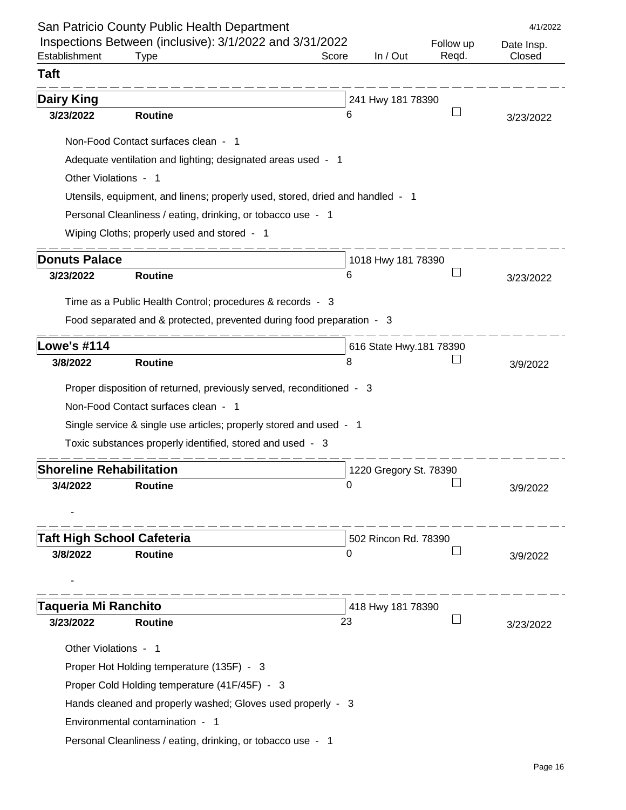|                                        | San Patricio County Public Health Department                                  |       |                         |           | 4/1/2022   |
|----------------------------------------|-------------------------------------------------------------------------------|-------|-------------------------|-----------|------------|
|                                        | Inspections Between (inclusive): 3/1/2022 and 3/31/2022                       |       |                         | Follow up | Date Insp. |
| Establishment                          | <b>Type</b>                                                                   | Score | In / Out                | Regd.     | Closed     |
| <b>Taft</b>                            |                                                                               |       |                         |           |            |
| <b>Dairy King</b><br>241 Hwy 181 78390 |                                                                               |       |                         |           |            |
| 3/23/2022                              | <b>Routine</b>                                                                | 6     |                         |           | 3/23/2022  |
|                                        | Non-Food Contact surfaces clean - 1                                           |       |                         |           |            |
|                                        | Adequate ventilation and lighting; designated areas used - 1                  |       |                         |           |            |
| Other Violations - 1                   |                                                                               |       |                         |           |            |
|                                        | Utensils, equipment, and linens; properly used, stored, dried and handled - 1 |       |                         |           |            |
|                                        | Personal Cleanliness / eating, drinking, or tobacco use - 1                   |       |                         |           |            |
|                                        | Wiping Cloths; properly used and stored - 1                                   |       |                         |           |            |
| <b>Donuts Palace</b>                   |                                                                               |       |                         |           |            |
| 3/23/2022                              | <b>Routine</b>                                                                | 6     | 1018 Hwy 181 78390      |           | 3/23/2022  |
|                                        |                                                                               |       |                         |           |            |
|                                        | Time as a Public Health Control; procedures & records - 3                     |       |                         |           |            |
|                                        | Food separated and & protected, prevented during food preparation - 3         |       |                         |           |            |
| <b>Lowe's #114</b>                     |                                                                               |       | 616 State Hwy.181 78390 |           |            |
| 3/8/2022                               | <b>Routine</b>                                                                | 8     |                         |           | 3/9/2022   |
|                                        | Proper disposition of returned, previously served, reconditioned - 3          |       |                         |           |            |
|                                        | Non-Food Contact surfaces clean - 1                                           |       |                         |           |            |
|                                        | Single service & single use articles; properly stored and used - 1            |       |                         |           |            |
|                                        | Toxic substances properly identified, stored and used - 3                     |       |                         |           |            |
|                                        |                                                                               |       |                         |           |            |
| <b>Shoreline Rehabilitation</b>        |                                                                               |       | 1220 Gregory St. 78390  |           |            |
| 3/4/2022                               | <b>Routine</b>                                                                | 0     |                         |           | 3/9/2022   |
|                                        |                                                                               |       |                         |           |            |
| <b>Taft High School Cafeteria</b>      |                                                                               |       | 502 Rincon Rd. 78390    |           |            |
| 3/8/2022                               | <b>Routine</b>                                                                | 0     |                         |           | 3/9/2022   |
|                                        |                                                                               |       |                         |           |            |
|                                        |                                                                               |       |                         |           |            |
| <b>Taqueria Mi Ranchito</b>            |                                                                               |       | 418 Hwy 181 78390       |           |            |
| 3/23/2022                              | <b>Routine</b>                                                                | 23    |                         |           | 3/23/2022  |
| Other Violations - 1                   |                                                                               |       |                         |           |            |
|                                        | Proper Hot Holding temperature (135F) - 3                                     |       |                         |           |            |
|                                        | Proper Cold Holding temperature (41F/45F) - 3                                 |       |                         |           |            |
|                                        | Hands cleaned and properly washed; Gloves used properly - 3                   |       |                         |           |            |
|                                        | Environmental contamination - 1                                               |       |                         |           |            |
|                                        | Personal Cleanliness / eating, drinking, or tobacco use - 1                   |       |                         |           |            |